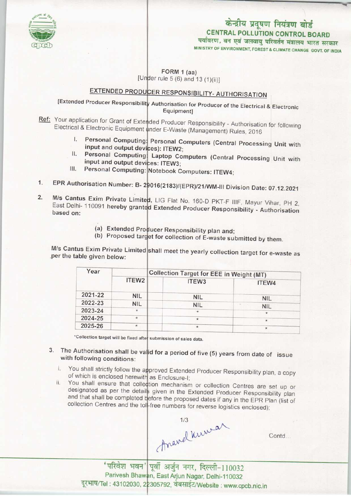

### CENTRAL POLLUTION CONTROL BOARD पर्यावरण, वन एवं जलवायु परिवर्तन मंत्रालय भारत सरकार केन्द्रीय प्रदूषण नियंत्रण बोर्ड

MINISTRY OF ENVIRONMENT, FOREST & CLIMATE CHANGE GOVT. OF INDIA

FORM 1 (aa)

[Under rule 5 (6) and 13  $(1)(ii)$ ]

# EXTENDED PRODUCER RESPONSIBILITY- AUTHORISATION

[Extended Producer Responsibility Authorisation for Producer of the Electrical Bluese of the Electrical Bluese I Equipment]

Equipment]<br>Ref: Your application for Grant of Extended Producer Responsibility - Authorisation for following Electrical & Electronic Equipment under E-Waste (Management) Rules, 2016

- I. Personal Computing: Personal Computers (Central Processing Unit with input and output devices): ITEW2;
- II. Personal Computing: Laptop Computers (Central Processing Unit with input and output devices: ITEW3;
- III. Personal Computing: Notebook Computers: ITEW4;
- 1. EPR Authorisation Number: B- 2 016(2183)/(EPR)/21/WM-lll Division Date: 07.12.2021
- M/s Cantus Exim Private Limited, LIG Flat No. 160-D PKT-F IIIF, Mayur Vihar, PH 2  $2.$ East Delhi- 110091 hereby granted Extended Producer Responsibility - Authorisation based on:
	- (a) Extended Producer Responsibility plan and;
	- (b) Proposed target for collection of E-waste submitted by them.

M/s Cantus Exim Private Limited shall meet the yearly collection target for e-waste as perthe table given below:

| Year    |                   | Collection Target for EEE in Weight (MT) |                    |
|---------|-------------------|------------------------------------------|--------------------|
|         | ITEW <sub>2</sub> | ITEW <sub>3</sub>                        | ITEW4              |
| 2021-22 | <b>NIL</b>        | <b>NIL</b>                               |                    |
| 2022-23 | <b>NIL</b>        |                                          | <b>NIL</b><br>Che. |
| 2023-24 | $\star$           | NIL.<br>$\star$                          | <b>NIL</b>         |
| 2024-25 | $\star$           |                                          | ÷                  |
| 2025-26 | $\star$           | $\star$                                  | ÷                  |
|         |                   | $\star$                                  |                    |

'Collection target will be fixed after submission of sales data.

#### 3. The Authorisation shall be valid for a period of five (5) years from date of issue with following conditions:

- i. You shall strictly follow the approved Extended Producer Responsibility plan, a copy of which is enclosed herewith as Enclosure-I
- collection Centres and the toll-free numbers for reverse logistics enclosed) or which is enclosed herewith as Enclosure-I;<br>ii. You shall ensure that collection mechanism or collection Centres are set up or designated as per the details given in the Extended Producer Responsibility plane and that shall be completed before the proposed dates if any in the EPR Plan (list of

Contd...

|<br>' पूर्वी अर्जुन नगर, दिल्ली-110032 . पारवश भवन |पूर्वा अजुन नगर, दिल्ली-110032<br>Parivesh Bhawan, East Ariun Nagar, Delhi 110033 Parivesh Bhawan, East Arjun Nagar, Delhi-110032<br>दूरभाष/Tel : 43102030, 22305792, वेबसाईट/Website : www.cpcb.nic.in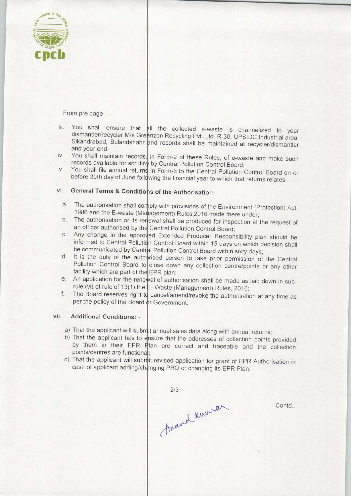

From pre page....

- iii. You shall ensure that all the collected e-waste is channelized to your dismantler/recycler M/s Greenzon Recycling Pvt. Ltd. R-30, UPSIDC Industrial area Sikandrabad, Bulandshahr and records shall be maintained at recycler/dismantler and your end;
- iv. You shall maintain records, in Form-2 of these Rules, of e-waste and make such records available for scrutiny by Central Pollution Control Board
- v. You shall file annual returns in Form-3 to the Central Pollution Control Board on or before 30th day of June following the financial year to which that returns relates.

## vi. General Terms & Conditions of the Authorisation:

- a. The authorisation shall comply with provisions of the Environment (Protection) Act 1986 and the E-waste (Management) Rules, 2016 made there under 1986 and the E-waste (Management) Rules, 2016 made there under;<br>b. The authorisation or its renewal shall be produced for inspection at the request of
- an officer authorised by the Central Pollution Control Board; an officer authorised by the Central Pollution Control Board;<br>c. Any change in the approved Extended Producer Responsibility plan should be
- informed to Central Pollution Control Board within 15 days on which decision shall be communicated by Central Pollution Control Board within sixty days;
- the communicated by Central Pollution Control Board within sixty days;<br>d. It is the duty of the authorised person to take prior permission of the Central Pollution Control Board to close down any collection centre/points or any other facility which are part of the EPR plan;
- facility which are part of the EPR plan;<br>e. An application for the renewal of authorisation shall be made as laid down in subrule (vi) of rule of 13(1) the  $E - W$ aste (Management) Rules, 2016 Fig. 2016;<br>f. The Board reserves right to cancel/amend/revoke the authorisation at any time as
- per the policy of the Board or Government

#### vii. Additional Conditions: -

- a) That the applicant will submit annual sales data along with annual returns
- b) That the applicant has to ensure that the addresses of collection points provided by them in their EPR Plan are correct and traceable and the collection points/centres are functional:
- c) That the applicant will submit revised application for grant of EPR Authorisation in case of applicant adding/changing PRO or changing its EPR Plan

 $2/3$ Anamal Kuman

Contd...